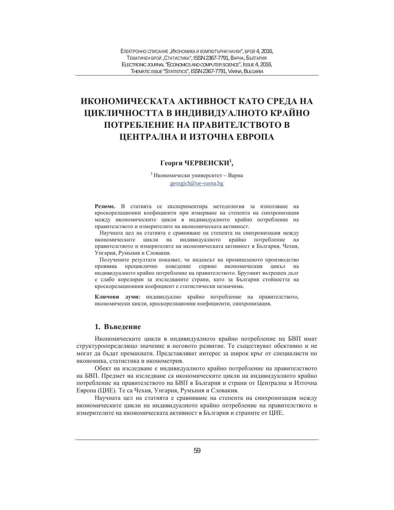# ИКОНОМИЧЕСКАТА АКТИВНОСТ КАТО СРЕДА НА **ШИКЛИЧНОСТТА В ИНДИВИДУАЛНОТО КРАЙНО** ПОТРЕБЛЕНИЕ НА ПРАВИТЕЛСТВОТО В **ШЕНТРАЛНА И ИЗТОЧНА ЕВРОПА**

## $\Gamma$ еорги ЧЕРВЕНСКИ<sup>1</sup>,

 $1$ Икономически университет – Варна georgich@ue-varna.bg

Резюме. В статията се експериментира методология за използване на кроскорелационни коефициенти при измерване на степента на синхронизация между икономическите цикли в индивидуалното крайно потребление на правителството и измерителите на икономическата активност.

Научната цел на статията е сравняване на степента на синхронизация между икономическите цикли на индивидуалното крайно потребление на правителството и измерителите на икономическата активност в България, Чехия, Унгария, Румъния и Словакия.

Получените резултати показват, че индексът на промишленото производство проявява проциклично поведение спрямо икономическия цикъл на индивидуалното крайно потребление на правителството. Брутният вътрешен дълг е слабо корелиран за изследваните страни, като за България стойността на кроскорелационния коефициент е статистически незначима.

Ключови думи: индивидуално крайно потребление на правителството, икономически цикли, кроскорелационни коефициенти, синхронизация.

## 1. Въвеление

Икономическите цикли в индивидуалното крайно потребление на БВП имат структуроопределящо значение в неговото развитие. Те съществуват обективно и не могат да бъдат премахнати. Представляват интерес за широк кръг от специалисти по икономика, статистика и иконометрия.

Обект на изследване е индивидуалното крайно потребление на правителството на БВП. Предмет на изследване са икономическите цикли на индивидуалното крайно потребление на правителството на БВП в България и страни от Централна и Източна Европа (ЦИЕ). Те са Чехия, Унгария, Румъния и Словакия.

Научната цел на статията е сравняване на степента на синхронизация между икономическите цикли на индивидуалното крайно потребление на правителството и измерителите на икономическата активност в България и страните от ЦИЕ.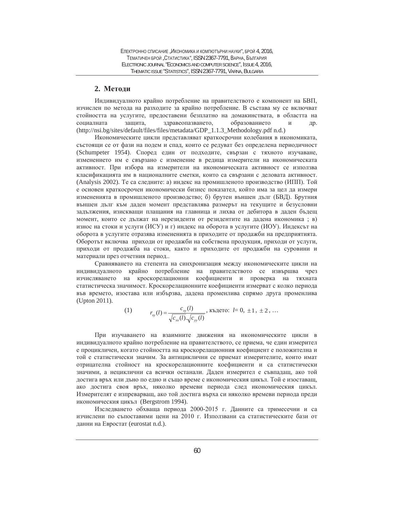## 2. Метоли

Индивидуалното крайно потребление на правителството е компонент на БВП, изчислен по метода на разходите за крайно потребление. В състава му се включват стойността на услугите, предоставени безплатно на домакинствата, в областта на социалната защита, здравеопазването, образованието и др. (http://nsi.bg/sites/default/files/files/metadata/GDP\_1.1.3\_Methodology.pdf n.d.)

Икономическите цикли представляват краткосрочни колебания в икономиката, състоящи се от фази на подем и спад, които се редуват без определена периодичност (Schumpeter 1954). Според един от подходите, свързан с тяхното изучаване, изменението им е свързано с изменение в редица измерители на икономическата активност. При избора на измерители на икономическата активност се използва класификацията им в националните сметки, които са свързани с деловата активност. (Analysis 2002). Те са следните: а) индекс на промишленото производство (ИПП). Той е основен краткосрочен икономически бизнес показател, който има за цел да измери измененията в промишленото производство; б) брутен външен дълг (БВД). Брутния външен дълг към даден момент представлява размерът на текущите и безусловни задължения, изискващи плащания на главница и лихва от дебитора в даден бъдещ момент, които се дължат на нерезиденти от резидентите на дадена икономика; в) износ на стоки и услуги (ИСУ) и г) индекс на оборота в услугите (ИОУ). Индексът на оборота в услугите отразява измененията в приходите от продажби на предприятията. Оборотът включва приходи от продажби на собствена продукция, приходи от услуги, приходи от продажба на стоки, както и приходите от продажби на суровини и материали през отчетния период..

Сравняването на степента на синхронизация между икономическите цикли на индивидуалното крайно потребление на правителството се извършва чрез изчисляването на кроскорелационни коефициенти и проверка на тяхната статистическа значимост. Кроскорелационните коефициенти измерват с колко периода във времето, изостава или избързва, дадена променлива спрямо друга променлива (Upton 2011).

(1) 
$$
r_{xy}(l) = \frac{c_{xy}(l)}{\sqrt{c_{xx}(l)} \sqrt{c_{yy}(l)}}, \text{κъдето: } l = 0, \pm 1, \pm 2, ...
$$

При изучаването на взаимните движения на икономическите цикли в индивидуалното крайно потребление на правителството, се приема, че един измерител е процикличен, когато стойността на кроскорелационния коефициент е положителна и той е статистически значим. За антициклични се приемат измерителите, които имат отрицателна стойност на кроскорелационните коефициенти и са статистически значими, а нециклични са всички останали. Даден измерител е съвпадащ, ако той достига връх или дъно по едно и също време с икономическия цикъл. Той е изоставащ, ако достига своя връх, няколко времеви периода след икономическия цикъл. Измерителят е изпреварващ, ако той достига върха си няколко времеви периода преди икономическия цикъл (Bergstrom 1994).

Изследването обхваща периода 2000-2015 г. Данните са тримесечни и са изчислени по съпоставими цени на 2010 г. Използвани са статистическите бази от данни на Евростат (eurostat n.d.).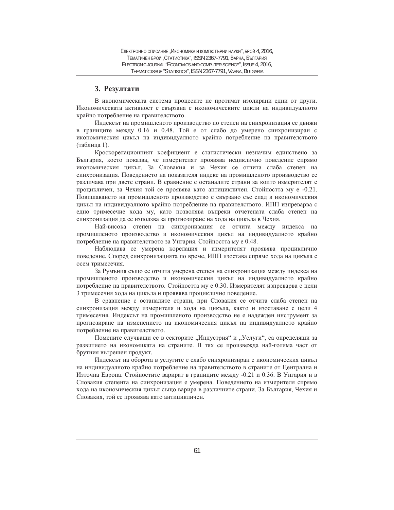## 3. Резултати

В икономическата система процесите не протичат изолирани едни от други. Икономическата активност е свързана с икономическите цикли на индивидуалното крайно потребление на правителството.

Индексът на промишленото производство по степен на синхронизация се движи в границите между 0.16 и 0.48. Той е от слабо до умерено синхронизиран с икономическия цикъл на индивидуалното крайно потребление на правителството (таблица 1).

Кроскорелационният коефициент е статистически незначим единствено за България, което показва, че измерителят проявява нециклично поведение спрямо икономическия цикъл. За Словакия и за Чехия се отчита слаба степен на синхронизация. Поведението на показателя индекс на промишленото производство се различава при двете страни. В сравнение с останалите страни за които измерителят е процикличен, за Чехия той се проявява като антицикличен. Стойността му е -0.21. Повишаването на промишленото производство е свързано със спад в икономическия цикъл на индивидуалното крайно потребление на правителството. ИПП изпреварва с едно тримесечие хода му, като позволява въпреки отчетената слаба степен на синхронизация да се използва за прогнозиране на хода на цикъла в Чехия.

Най-висока степен на синхронизация се отчита между индекса на промишленото производство и икономическия цикъл на индивидуалното крайно потребление на правителството за Унгария. Стойността му е 0.48.

Наблюдава се умерена корелация и измерителят проявява проциклично поведение. Според синхронизацията по време, ИПП изостава спрямо хода на цикъла с осем тримесечия.

За Румъния също се отчита умерена степен на синхронизация между индекса на промишленото производство и икономическия цикъл на индивидуалното крайно потребление на правителството. Стойността му е 0.30. Измерителят изпреварва с цели 3 тримесечия хода на цикъла и проявява проциклично поведение.

В сравнение с останалите страни, при Словакия се отчита слаба степен на синхронизация между измерителя и хода на цикъла, както и изоставане с цели 4 тримесечия. Индексът на промишленото производство не е надежден инструмент за прогнозиране на изменението на икономическия цикъл на индивидуалното крайно потребление на правителството.

Помените случващи се в секторите "Индустрия" и "Услуги", са определящи за развитието на икономиката на страните. В тях се произвежда най-голяма част от брутния вътрешен продукт.

Индексът на оборота в услугите е слабо синхронизиран с икономическия цикъл на индивидуалното крайно потребление на правителството в страните от Централна и Източна Европа. Стойностите варират в границите между -0.21 и 0.36. В Унгария и в Словакия степента на синхронизация е умерена. Поведението на измерителя спрямо хода на икономическия цикъл също варира в различните страни. За България, Чехия и Словакия, той се проявява като антицикличен.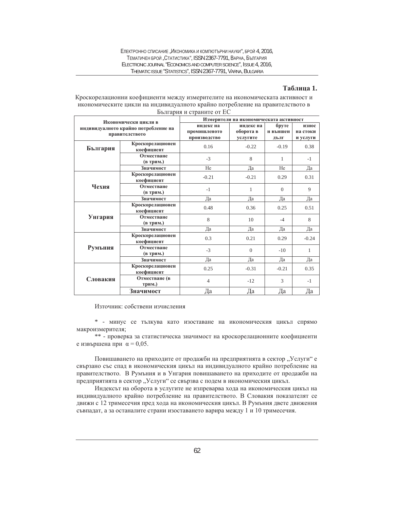## **Таблица 1.**

#### Кроскорелационни коефициенти между измерителите на икономическата активност и икономическите цикли на индивидуалното крайно потребление на правителството в България и страните от ЕС

| Икономически цикли в<br>индивидуалното крайно потребление на<br>правителството |                                | Измерители на икономическата активност    |                                    |                           |                               |
|--------------------------------------------------------------------------------|--------------------------------|-------------------------------------------|------------------------------------|---------------------------|-------------------------------|
|                                                                                |                                | индекс на<br>промишленото<br>производство | индекс на<br>оборота в<br>услугите | бруте<br>н външен<br>ДЪЛГ | износ<br>на стоки<br>и услуги |
| България                                                                       | Кроскорелационен<br>коефициент | 0.16                                      | $-0.22$                            | $-0.19$                   | 0.38                          |
|                                                                                | Отместване<br>(в трим.)        | $-3$                                      | 8                                  | 1                         | $-1$                          |
|                                                                                | Значимост                      | He                                        | Да                                 | He                        | Да                            |
| Чехия                                                                          | Кроскорелационен<br>коефициент | $-0.21$                                   | $-0.21$                            | 0.29                      | 0.31                          |
|                                                                                | Отместване<br>(в трим.)        | $-1$                                      | 1                                  | $\Omega$                  | $\overline{Q}$                |
|                                                                                | Значимост                      | Да                                        | Да                                 | Да                        | Да                            |
|                                                                                | Кроскорелационен<br>коефициент | 0.48                                      | 0.36                               | 0.25                      | 0.51                          |
| Унгария                                                                        | Отместване<br>(в трим.)        | 8                                         | 10                                 | $-4$                      | 8                             |
|                                                                                | Значимост                      | Да                                        | Да                                 | Да                        | Дa                            |
|                                                                                | Кроскорелационен<br>коефициент | 0.3                                       | 0.21                               | 0.29                      | $-0.24$                       |
| <b>Румъния</b>                                                                 | Отместване<br>(в трим.)        | $-3$                                      | $\Omega$                           | $-10$                     | $\mathbf{1}$                  |
|                                                                                | Значимост                      | Да                                        | Да                                 | Да                        | Да                            |
|                                                                                | Кроскорелационен<br>коефициент | 0.25                                      | $-0.31$                            | $-0.21$                   | 0.35                          |
| Словакия                                                                       | Отместване (в<br>трим.)        | $\overline{4}$                            | $-12$                              | 3                         | $-1$                          |
|                                                                                | Значимост                      | Да                                        | Да                                 | Да                        | Да                            |

Източник: собствени изчисления

\* - минус се тылкува като изоставане на икономическия цикъл спрямо макроизмерителя;

\*\* - проверка за статистическа значимост на кроскорелационните коефициенти е извършена при  $\alpha = 0.05$ .

Повишаването на приходите от продажби на предприятията в сектор "Услуги" е свързано със спад в икономическия цикъл на индивидуалното крайно потребление на правителството. В Румъния и в Унгария повишаването на приходите от продажби на предприятията в сектор "Услуги" се свързва с подем в икономическия цикъл.

Индексът на оборота в услугите не изпреварва хода на икономическия цикъл на индивидуалното крайно потребление на правителството. В Словакия показателят се движи с 12 тримесечия пред хода на икономическия цикъл. В Румъния двете движения съвпадат, а за останалите страни изоставането варира между 1 и 10 тримесечия.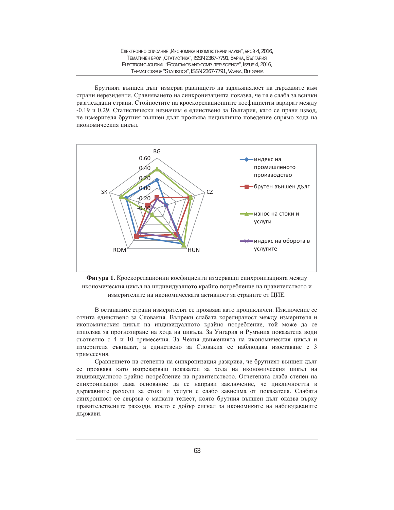ЕЛЕКТРОННО СПИСАНИЕ "ИКОНОМИКА И КОМПЮТЪРНИ НАУКИ", БРОЙ 4, 2016, ТЕМАТИЧЕН БРОЙ "СТАТИСТИКА", ISSN 2367-7791, ВАРНА, БЪЛГАРИЯ ELECTRONIC JOURNAL "ECONOMICS AND COMPUTER SCIENCE", ISSUE 4, 2016, THEMATIC ISSUE "STATISTICS", ISSN 2367-7791, VARNA, BULGARIA

Брутният външен дълг измерва равнището на задлъжнялост на държавите към страни нерезиденти. Сравняването на синхронизацията показва, че тя е слаба за всички разглеждани страни. Стойностите на кроскорелационните коефициенти варират между -0.19 и 0.29. Статистически незначим е единствено за България, като се прави извод, че измерителя брутния външен дълг проявява нециклично поведение спрямо хода на икономическия цикъл.





В останалите страни измерителят се проявява като процикличен. Изключение се отчита единствено за Словакия. Въпреки слабата корелираност между измерителя и икономическия цикъл на индивидуалното крайно потребление, той може да се използва за прогнозиране на хода на цикъла. За Унгария и Румъния показателя води съответно с 4 и 10 тримесечия. За Чехия движенията на икономическия цикъл и измерителя съвпадат, а единствено за Словакия се наблюдава изоставане с 3 тримесечия.

Сравнението на степента на синхронизация разкрива, че брутният външен дълг се проявява като изпреварващ показател за хода на икономическия цикъл на индивидуалното крайно потребление на правителството. Отчетената слаба степен на синхронизация дава основание да се направи заключение, че цикличността в държавните разходи за стоки и услуги е слабо зависима от показателя. Слабата синхронност се свързва с малката тежест, която брутния външен дълг оказва върху правителствените разходи, което е добър сигнал за икономиките на наблюдаваните държави.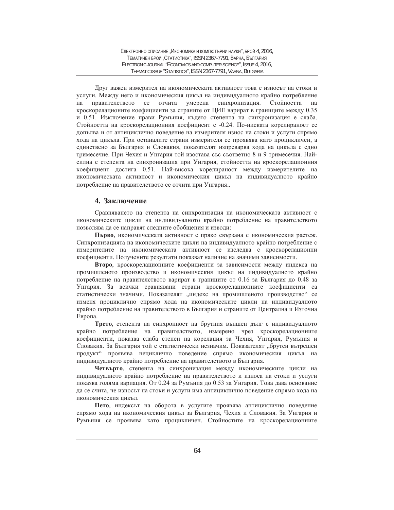Друг важен измерител на икономическата активност това е износът на стоки и услуги. Между него и икономическия цикъл на индивидуалното крайно потребление на правителството се отчита умерена синхронизация. Стойността на кроскорелационите коефициенти за страните от ЦИЕ варират в границите между 0.35 и 0.51. Изключение прави Румъния, където степента на синхронизация е слаба. Стойността на кроскорелационния коефициент е -0.24. По-ниската корелираност се допълва и от антициклично поведение на измерителя износ на стоки и услуги спрямо хода на цикъла. При останалите страни измерителя се проявява като процикличен, а единствено за България и Словакия, показателят изпреварва хода на цикъла с едно тримесечие. При Чехия и Унгария той изостава със съответно 8 и 9 тримесечия. Найсилна е степента на синхронизация при Унгария, стойността на кроскорелационния коефициент достига 0.51. Най-висока корелираност между измерителите на икономическата активност и икономическия цикъл на индивидуалното крайно потребление на правителството се отчита при Унгария..

### **4.** Заключение

Сравняването на степента на синхронизация на икономическата активност с икономическите цикли на индивидуалното крайно потребление на правителството позволява да се направят следните обобщения и изводи:

Първо, икономическата активност е пряко свързана с икономическия растеж. Синхронизацията на икономическите цикли на индивидуалното крайно потребление с измерителите на икономическата активност се изследва с кроскорелационни коефициенти. Получените резултати показват наличие на значими зависимости.

Второ, кроскорелационните коефициенти за зависимости между индекса на промишленото производство и икономическия цикъл на индивидуалното крайно потребление на правителството варират в границите от 0.16 за България до 0.48 за Унгария. За всички сравнявани страни кроскорелационните коефициенти са статистически значими. Показателят "индекс на промишленото производство" се изменя проциклично спрямо хода на икономическите цикли на индивидуалното крайно потребление на правителството в България и страните от Централна и Източна Европа.

**Трето**, степента на синхронност на брутния външен дълг с индивидуалното крайно потребление на правителството, измерено чрез кроскорелационните коефициенти, показва слаба степен на корелация за Чехия, Унгария, Румъния и Словакия. За България той е статистически незначим. Показателят "брутен вътрешен продукт" проявява нециклично поведение спрямо икономическия цикъл на индивидуалното крайно потребление на правителството в България.

Четвърто, степента на синхронизация между икономическите цикли на индивидуалното крайно потребление на правителството и износа на стоки и услуги показва голяма вариация. От 0.24 за Румъния до 0.53 за Унгария. Това дава основание да се счита, че износът на стоки и услуги има антициклично поведение спрямо хода на икономическия пикъл.

Пето, индексът на оборота в услугите проявява антициклично поведение спрямо хода на икономическия цикъл за България, Чехия и Словакия. За Унгария и Румъния се проявява като процикличен. Стойностите на кроскорелационните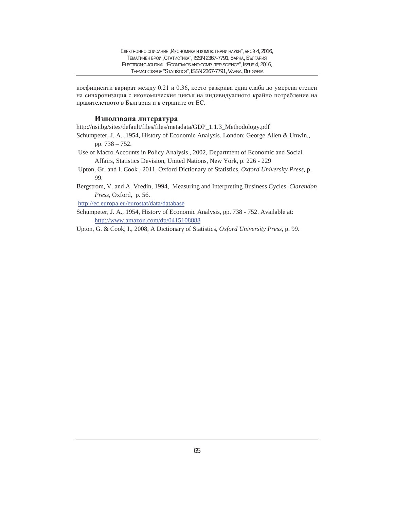коефициенти варират между 0.21 и 0.36, което разкрива една слаба до умерена степен на синхронизация с икономическия цикъл на индивидуалното крайно потребление на правителството в България и в страните от ЕС.

#### **Използвана литература**

http://nsi.bg/sites/default/files/files/metadata/GDP\_1.1.3\_Methodology.pdf

- Schumpeter, J. A. ,1954, History of Economic Analysis. London: George Allen & Unwin., pp. 738 – 752.
- Use of Macro Accounts in Policy Analysis , 2002, Department of Economic and Social Affairs, Statistics Devision, United Nations, New York, p. 226 - 229
- Upton, Gr. and I. Cook , 2011, Oxford Dictionary of Statistics, *Oxford University Press*, p. 99.
- Bergstrom, V. and A. Vredin, 1994, Measuring and Interpreting Business Cycles. *Clarendon Press*, Oxford, p. 56.

http://ec.europa.eu/eurostat/data/database

Schumpeter, J. A., 1954, History of Economic Analysis, pp. 738 - 752. Available at: http://www.amazon.com/dp/0415108888

Upton, G. & Cook, I., 2008, A Dictionary of Statistics, *Oxford University Press*, p. 99.